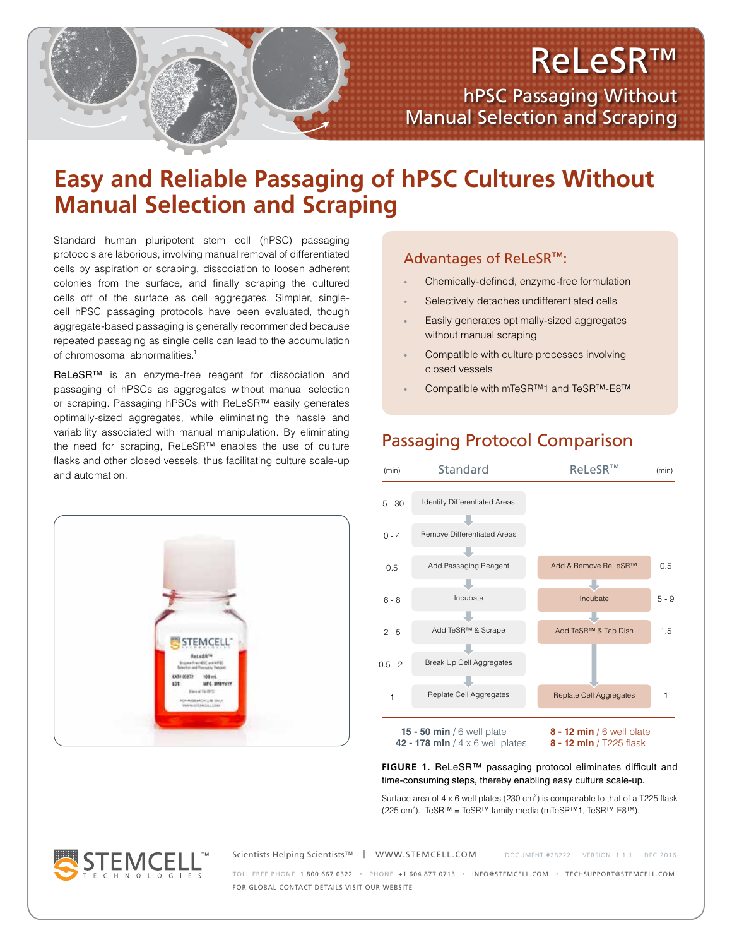# ReLeSR™

hPSC Passaging Without Manual Selection and Scraping

## **Easy and Reliable Passaging of hPSC Cultures Without Manual Selection and Scraping**

Standard human pluripotent stem cell (hPSC) passaging protocols are laborious, involving manual removal of differentiated cells by aspiration or scraping, dissociation to loosen adherent colonies from the surface, and finally scraping the cultured cells off of the surface as cell aggregates. Simpler, singlecell hPSC passaging protocols have been evaluated, though aggregate-based passaging is generally recommended because repeated passaging as single cells can lead to the accumulation of chromosomal abnormalities.<sup>1</sup>

ReLeSR<sup>™</sup> is an enzyme-free reagent for dissociation and passaging of hPSCs as aggregates without manual selection or scraping. Passaging hPSCs with ReLeSR™ easily generates optimally-sized aggregates, while eliminating the hassle and variability associated with manual manipulation. By eliminating the need for scraping, ReLeSR™ enables the use of culture flasks and other closed vessels, thus facilitating culture scale-up and automation.



## Advantages of ReLeSR™:

- Chemically-defined, enzyme-free formulation
- Selectively detaches undifferentiated cells
- Easily generates optimally-sized aggregates without manual scraping
- Compatible with culture processes involving closed vessels
- Compatible with mTeSR™1 and TeSR™-E8™

## Passaging Protocol Comparison



**FIGURE 1.** ReLeSR™ passaging protocol eliminates difficult and time-consuming steps, thereby enabling easy culture scale-up.

Surface area of  $4 \times 6$  well plates (230 cm<sup>2</sup>) is comparable to that of a T225 flask (225 cm<sup>2</sup>). TeSR™ = TeSR™ family media (mTeSR™1, TeSR™-E8™).

**STEMCE** 

Scientists Helping Scientists™ | WWW.STEMCELL.COM DOCUMENT #28222 VERSION 1.1.1 DEC 2016 TOLL FREE PHONE 1 800 667 0322 • PHONE +1 604 877 0713 • INFO@STEMCELL.COM • TECHSUPPORT@STEMCELL.COM FOR GLOBAL CONTACT DETAILS VISIT OUR WEBSITE